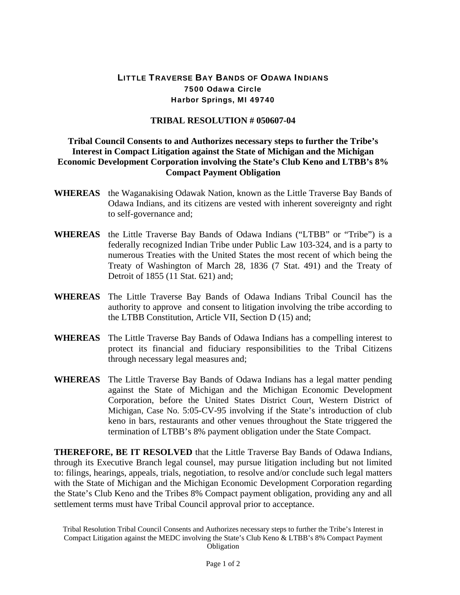## LITTLE TRAVERSE BAY BANDS OF ODAWA INDIANS 7500 Odawa Circle Harbor Springs, MI 49740

## **TRIBAL RESOLUTION # 050607-04**

## **Tribal Council Consents to and Authorizes necessary steps to further the Tribe's Interest in Compact Litigation against the State of Michigan and the Michigan Economic Development Corporation involving the State's Club Keno and LTBB's 8% Compact Payment Obligation**

- **WHEREAS** the Waganakising Odawak Nation, known as the Little Traverse Bay Bands of Odawa Indians, and its citizens are vested with inherent sovereignty and right to self-governance and;
- **WHEREAS** the Little Traverse Bay Bands of Odawa Indians ("LTBB" or "Tribe") is a federally recognized Indian Tribe under Public Law 103-324, and is a party to numerous Treaties with the United States the most recent of which being the Treaty of Washington of March 28, 1836 (7 Stat. 491) and the Treaty of Detroit of 1855 (11 Stat. 621) and;
- **WHEREAS** The Little Traverse Bay Bands of Odawa Indians Tribal Council has the authority to approve and consent to litigation involving the tribe according to the LTBB Constitution, Article VII, Section D (15) and;
- **WHEREAS** The Little Traverse Bay Bands of Odawa Indians has a compelling interest to protect its financial and fiduciary responsibilities to the Tribal Citizens through necessary legal measures and;
- **WHEREAS** The Little Traverse Bay Bands of Odawa Indians has a legal matter pending against the State of Michigan and the Michigan Economic Development Corporation, before the United States District Court, Western District of Michigan, Case No. 5:05-CV-95 involving if the State's introduction of club keno in bars, restaurants and other venues throughout the State triggered the termination of LTBB's 8% payment obligation under the State Compact.

**THEREFORE, BE IT RESOLVED** that the Little Traverse Bay Bands of Odawa Indians, through its Executive Branch legal counsel, may pursue litigation including but not limited to: filings, hearings, appeals, trials, negotiation, to resolve and/or conclude such legal matters with the State of Michigan and the Michigan Economic Development Corporation regarding the State's Club Keno and the Tribes 8% Compact payment obligation, providing any and all settlement terms must have Tribal Council approval prior to acceptance.

Tribal Resolution Tribal Council Consents and Authorizes necessary steps to further the Tribe's Interest in Compact Litigation against the MEDC involving the State's Club Keno & LTBB's 8% Compact Payment Obligation